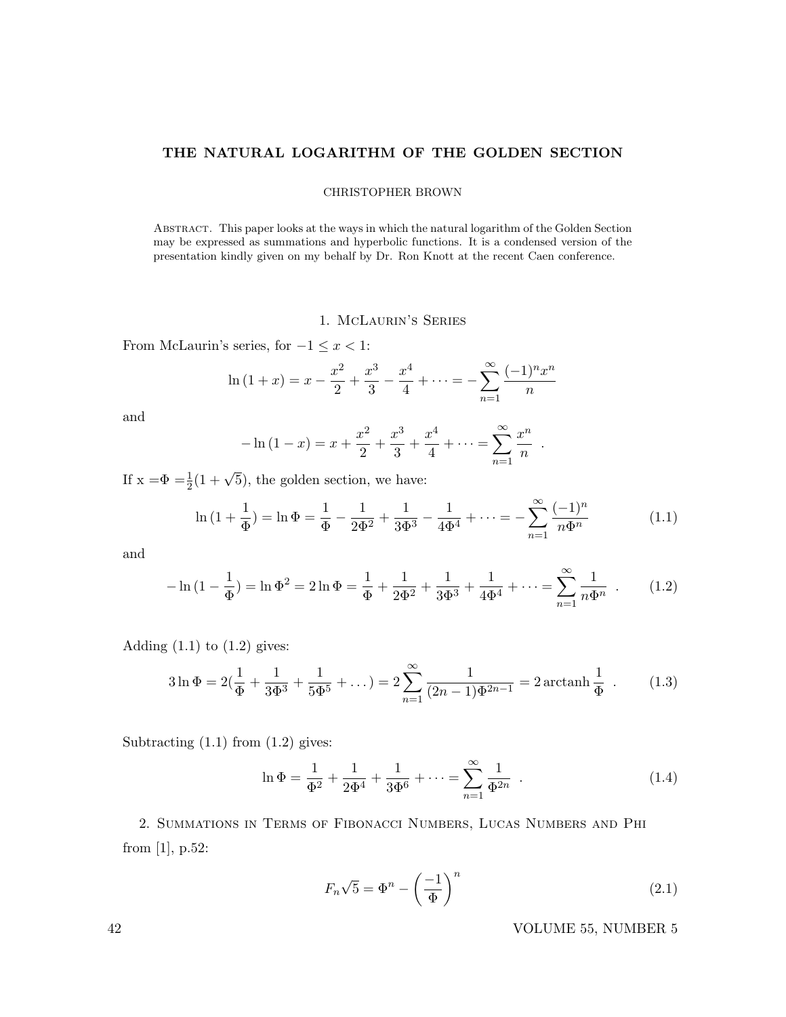### THE NATURAL LOGARITHM OF THE GOLDEN SECTION

### CHRISTOPHER BROWN

Abstract. This paper looks at the ways in which the natural logarithm of the Golden Section may be expressed as summations and hyperbolic functions. It is a condensed version of the presentation kindly given on my behalf by Dr. Ron Knott at the recent Caen conference.

## 1. McLaurin's Series

From McLaurin's series, for  $-1 \leq x < 1$ :

$$
\ln(1+x) = x - \frac{x^2}{2} + \frac{x^3}{3} - \frac{x^4}{4} + \dots = -\sum_{n=1}^{\infty} \frac{(-1)^n x^n}{n}
$$

and

$$
-\ln(1-x) = x + \frac{x^2}{2} + \frac{x^3}{3} + \frac{x^4}{4} + \dots = \sum_{n=1}^{\infty} \frac{x^n}{n}
$$

If  $x = \Phi = \frac{1}{2}(1 + \sqrt{5})$ , the golden section, we have:

$$
\ln\left(1+\frac{1}{\Phi}\right) = \ln \Phi = \frac{1}{\Phi} - \frac{1}{2\Phi^2} + \frac{1}{3\Phi^3} - \frac{1}{4\Phi^4} + \dots = -\sum_{n=1}^{\infty} \frac{(-1)^n}{n\Phi^n}
$$
(1.1)

.

and

$$
-\ln\left(1-\frac{1}{\Phi}\right) = \ln \Phi^2 = 2\ln \Phi = \frac{1}{\Phi} + \frac{1}{2\Phi^2} + \frac{1}{3\Phi^3} + \frac{1}{4\Phi^4} + \dots = \sum_{n=1}^{\infty} \frac{1}{n\Phi^n} \quad . \tag{1.2}
$$

Adding  $(1.1)$  to  $(1.2)$  gives:

$$
3\ln \Phi = 2\left(\frac{1}{\Phi} + \frac{1}{3\Phi^3} + \frac{1}{5\Phi^5} + \dots\right) = 2\sum_{n=1}^{\infty} \frac{1}{(2n-1)\Phi^{2n-1}} = 2\arctanh\frac{1}{\Phi} \tag{1.3}
$$

Subtracting  $(1.1)$  from  $(1.2)$  gives:

$$
\ln \Phi = \frac{1}{\Phi^2} + \frac{1}{2\Phi^4} + \frac{1}{3\Phi^6} + \dots = \sum_{n=1}^{\infty} \frac{1}{\Phi^{2n}} .
$$
 (1.4)

2. Summations in Terms of Fibonacci Numbers, Lucas Numbers and Phi from [1], p.52:

$$
F_n\sqrt{5} = \Phi^n - \left(\frac{-1}{\Phi}\right)^n \tag{2.1}
$$

42 VOLUME 55, NUMBER 5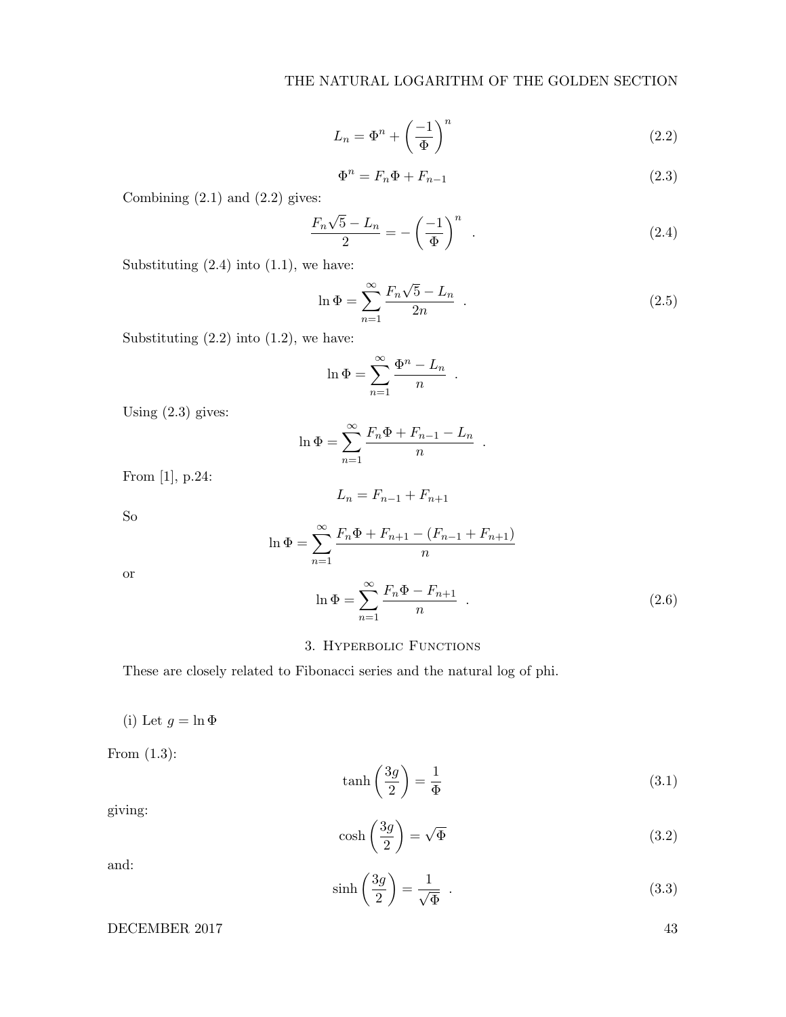$$
L_n = \Phi^n + \left(\frac{-1}{\Phi}\right)^n \tag{2.2}
$$

$$
\Phi^n = F_n \Phi + F_{n-1} \tag{2.3}
$$

Combining  $(2.1)$  and  $(2.2)$  gives:

$$
\frac{F_n\sqrt{5}-L_n}{2} = -\left(\frac{-1}{\Phi}\right)^n \tag{2.4}
$$

Substituting  $(2.4)$  into  $(1.1)$ , we have:

$$
\ln \Phi = \sum_{n=1}^{\infty} \frac{F_n \sqrt{5} - L_n}{2n} . \tag{2.5}
$$

.

.

Substituting  $(2.2)$  into  $(1.2)$ , we have:

$$
\ln \Phi = \sum_{n=1}^{\infty} \frac{\Phi^n - L_n}{n}
$$

Using (2.3) gives:

$$
\ln \Phi = \sum_{n=1}^{\infty} \frac{F_n \Phi + F_{n-1} - L_n}{n}
$$

From [1], p.24:

$$
L_n = F_{n-1} + F_{n+1}
$$

So

$$
\ln \Phi = \sum_{n=1}^{\infty} \frac{F_n \Phi + F_{n+1} - (F_{n-1} + F_{n+1})}{n}
$$

or

$$
\ln \Phi = \sum_{n=1}^{\infty} \frac{F_n \Phi - F_{n+1}}{n} . \tag{2.6}
$$

# 3. Hyperbolic Functions

These are closely related to Fibonacci series and the natural log of phi.

(i) Let  $g = \ln \Phi$ 

From (1.3):

$$
\tanh\left(\frac{3g}{2}\right) = \frac{1}{\Phi} \tag{3.1}
$$

giving:

$$
\cosh\left(\frac{3g}{2}\right) = \sqrt{\Phi} \tag{3.2}
$$

and:

$$
\sinh\left(\frac{3g}{2}\right) = \frac{1}{\sqrt{\Phi}} \tag{3.3}
$$

DECEMBER 2017 43